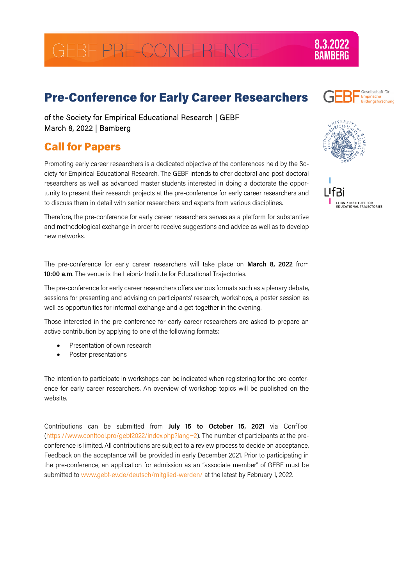# GEBF PRE-CONFERENCE

## Pre-Conference for Early Career Researchers

of the Society for Empirical Educational Research | GEBF March 8, 2022 | Bamberg

## Call for Papers

Promoting early career researchers is a dedicated objective of the conferences held by the Society for Empirical Educational Research. The GEBF intends to offer doctoral and post-doctoral researchers as well as advanced master students interested in doing a doctorate the opportunity to present their research projects at the pre-conference for early career researchers and to discuss them in detail with senior researchers and experts from various disciplines.

Therefore, the pre-conference for early career researchers serves as a platform for substantive and methodological exchange in order to receive suggestions and advice as well as to develop new networks.

The pre-conference for early career researchers will take place on **March 8, 2022** from **10:00 a.m**. The venue is the Leibniz Institute for Educational Trajectories.

The pre-conference for early career researchers offers various formats such as a plenary debate, sessions for presenting and advising on participants' research, workshops, a poster session as well as opportunities for informal exchange and a get-together in the evening.

Those interested in the pre-conference for early career researchers are asked to prepare an active contribution by applying to one of the following formats:

- Presentation of own research
- Poster presentations

The intention to participate in workshops can be indicated when registering for the pre-conference for early career researchers. An overview of workshop topics will be published on the website.

Contributions can be submitted from **July 15 to October 15, 2021** via ConfTool [\(https://www.conftool.pro/gebf2022/index.php?lang=2\)](https://www.conftool.pro/gebf2022/index.php?lang=2). The number of participants at the preconference is limited. All contributions are subject to a review process to decide on acceptance. Feedback on the acceptance will be provided in early December 2021. Prior to participating in the pre-conference, an application for admission as an "associate member" of GEBF must be submitted t[o www.gebf-ev.de/deutsch/mitglied-werden/](http://www.gebf-ev.de/deutsch/mitglied-werden/) at the latest by February 1, 2022.